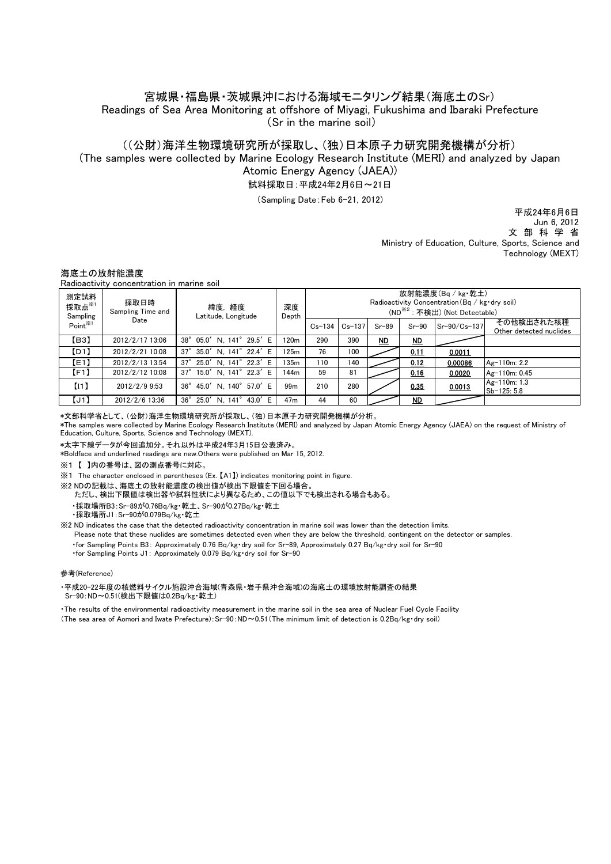## 宮城県・福島県・茨城県沖における海域モニタリング結果(海底土のSr) Readings of Sea Area Monitoring at offshore of Miyagi, Fukushima and Ibaraki Prefecture (Sr in the marine soil)

# ((公財)海洋生物環境研究所が採取し、(独)日本原子力研究開発機構が分析)

試料採取日:平成24年2月6日~21日 (The samples were collected by Marine Ecology Research Institute (MERI) and analyzed by Japan Atomic Energy Agency (JAEA))

(Sampling Date:Feb 6-21, 2012)

 Ministry of Education, Culture, Sports, Science and Technology (MEXT) Jun 6, 2012 文 部 科 学 省 平成24年6月6日

### 海底土の放射能濃度

Radioactivity concentration in marine soil

| 測定試料<br>採取点 $*$<br>Sampling<br>Point <sup>※1</sup> | 採取日時<br>Sampling Time and<br>Date | 緯度,経度<br>Latitude, Longitude        | 深度<br>Depth      | 放射能濃度(Bq / kg·乾土)<br>Radioactivity Concentration (Bq / kg · dry soil)<br>(ND <sup>※2</sup> : 不検出) (Not Detectable) |            |           |           |              |                                       |
|----------------------------------------------------|-----------------------------------|-------------------------------------|------------------|--------------------------------------------------------------------------------------------------------------------|------------|-----------|-----------|--------------|---------------------------------------|
|                                                    |                                   |                                     |                  | $Cs - 134$                                                                                                         | $Cs - 137$ | $Sr-89$   | $Sr-90$   | Sr-90/Cs-137 | その他検出された核種<br>Other detected nuclides |
| [ <sub>B3</sub> ]                                  | 2012/2/17 13:06                   | 38° 05.0' N. 141° 29.5' E           | 120 <sub>m</sub> | 290                                                                                                                | 390        | <b>ND</b> | <b>ND</b> |              |                                       |
| [D1]                                               | 2012/2/21 10:08                   | 37° 35.0' N. 141° 22.4' E           | 125m             | 76                                                                                                                 | 100        |           | 0.11      | 0.0011       |                                       |
| E[1]                                               | 2012/2/13 13:54                   | 25.0' N. 141° 22.3' E<br>$37^\circ$ | 135m             | 110                                                                                                                | 140        |           | 0.12      | 0.00086      | Ag-110m: 2.2                          |
| [F1]                                               | 2012/2/12 10:08                   | 37° 15.0' N. 141° 22.3' E           | 144 <sub>m</sub> | 59                                                                                                                 | 81         |           | 0.16      | 0.0020       | Ag-110m: 0.45                         |
| (11)                                               | 2012/2/9 9:53                     | 36° 45.0' N. 140° 57.0' E           | 99 <sub>m</sub>  | 210                                                                                                                | 280        |           | 0.35      | 0.0013       | Ag-110m: 1.3<br>Sb-125: 5.8           |
| [J1]                                               | 2012/2/6 13:36                    | 36° 25.0' N. 141° 43.0' E           | 47 <sub>m</sub>  | 44                                                                                                                 | 60         |           | MD        |              |                                       |

\*文部科学省として、(公財)海洋生物環境研究所が採取し、(独)日本原子力研究開発機構が分析。

\*The samples were collected by Marine Ecology Research Institute (MERI) and analyzed by Japan Atomic Energy Agency (JAEA) on the request of Ministry of Education, Culture, Sports, Science and Technology (MEXT).

\*太字下線データが今回追加分。それ以外は平成24年3月15日公表済み。

\*Boldface and underlined readings are new.Others were published on Mar 15, 2012.

※1 【 】内の番号は、図の測点番号に対応。

※1 The character enclosed in parentheses (Ex. 【A1】) indicates monitoring point in figure.

※2 NDの記載は、海底土の放射能濃度の検出値が検出下限値を下回る場合。

 ・採取場所B3:Sr-89が0.76Bq/kg・乾土、Sr-90が0.27Bq/kg・乾土 ただし、検出下限値は検出器や試料性状により異なるため、この値以下でも検出される場合もある。

・採取場所J1:Sr-90が0.079Bq/kg・乾土

※2 ND indicates the case that the detected radioactivity concentration in marine soil was lower than the detection limits.

Please note that these nuclides are sometimes detected even when they are below the threshold, contingent on the detector or samples.

・for Sampling Points B3: Approximately 0.76 Bq/kg・dry soil for Sr-89, Approximately 0.27 Bq/kg・dry soil for Sr-90

・for Sampling Points J1: Approximately 0.079 Bq/kg・dry soil for Sr-90

#### 参考(Reference)

・平成20-22年度の核燃料サイクル施設沖合海域(青森県・岩手県沖合海域)の海底土の環境放射能調査の結果 Sr-90:ND~0.51(検出下限値は0.2Bq/kg・乾土)

・The results of the environmental radioactivity measurement in the marine soil in the sea area of Nuclear Fuel Cycle Facility (The sea area of Aomori and Iwate Prefecture):Sr-90:ND~0.51(The minimum limit of detection is 0.2Bq/kg・dry soil)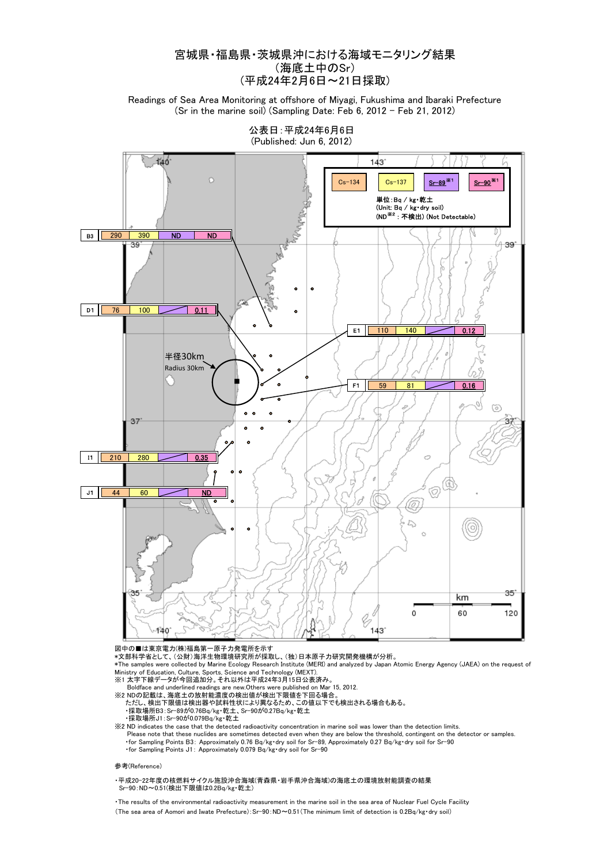## 宮城県・福島県・茨城県沖における海域モニタリング結果 (海底土中のSr) (平成24年2月6日~21日採取)

Readings of Sea Area Monitoring at offshore of Miyagi, Fukushima and Ibaraki Prefecture (Sr in the marine soil) (Sampling Date: Feb 6, 2012 - Feb 21, 2012)



公表日:平成24年6月6日 (Published: Jun 6, 2012)

図中の■は東京電力(株)福島第一原子力発電所を示す

ートンニンスメ。<br>\*文部科学省として、(公財)海洋生物環境研究所が採取し、(独)日本原子力研究開発機構が分析。

\*The samples were collected by Marine Ecology Research Institute (MERI) and analyzed by Japan Atomic Energy Agency (JAEA) on the request of Ministry of Education, Culture, Sports, Science and Technology (MEXT).

- 
- Boldface and underlined readings are new.Others were published on Mar 15, 2012. ※2 NDの記載は、海底土の放射能濃度の検出値が検出下限値を下回る場合。 ただし、検出下限値は検出器や試料性状により異なるため、この値以下でも検出される場合もある。
	-

・採取場所B3:Sr-89が0.76Bq/kg・乾土、Sr-90が0.27Bq/kg・乾土 ・採取場所J1:Sr-90が0.079Bq/kg・乾土

※2 ND indicates the case that the detected radioactivity concentration in marine soil was lower than the detection limits. Please note that these nuclides are sometimes detected even when they are below the threshold, contingent on the detector or samples. ・for Sampling Points B3: Approximately 0.76 Bq/kg・dry soil for Sr-89, Approximately 0.27 Bq/kg・dry soil for Sr-90 ・for Sampling Points J1: Approximately 0.079 Bq/kg・dry soil for Sr-90

#### 参考(Reference)

・平成20-22年度の核燃料サイクル施設沖合海域(青森県・岩手県沖合海域)の海底土の環境放射能調査の結果 Sr-90:ND~0.51(検出下限値は0.2Bq/kg・乾土)

・The results of the environmental radioactivity measurement in the marine soil in the sea area of Nuclear Fuel Cycle Facility (The sea area of Aomori and Iwate Prefecture):Sr-90:ND~0.51(The minimum limit of detection is 0.2Bq/kg・dry soil)

<sup>※1</sup> 太字下線データが今回追加分。それ以外は平成24年3月15日公表済み。